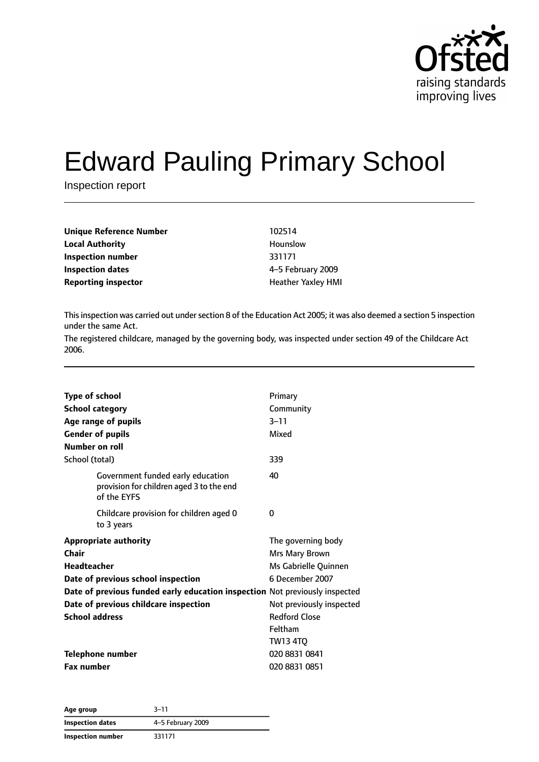

# Edward Pauling Primary School

Inspection report

| Unique Reference Number    | 102514                    |
|----------------------------|---------------------------|
| <b>Local Authority</b>     | Hounslow                  |
| Inspection number          | 331171                    |
| Inspection dates           | 4-5 February 2009         |
| <b>Reporting inspector</b> | <b>Heather Yaxley HMI</b> |

This inspection was carried out under section 8 of the Education Act 2005; it was also deemed a section 5 inspection under the same Act.

The registered childcare, managed by the governing body, was inspected under section 49 of the Childcare Act 2006.

| <b>Type of school</b> |                                                                                              | Primary                  |
|-----------------------|----------------------------------------------------------------------------------------------|--------------------------|
|                       | <b>School category</b>                                                                       | Community                |
|                       | Age range of pupils                                                                          | $3 - 11$                 |
|                       | <b>Gender of pupils</b>                                                                      | Mixed                    |
|                       | Number on roll                                                                               |                          |
| School (total)        |                                                                                              | 339                      |
|                       | Government funded early education<br>provision for children aged 3 to the end<br>of the EYFS | 40                       |
|                       | Childcare provision for children aged 0<br>to 3 years                                        | 0                        |
|                       | <b>Appropriate authority</b>                                                                 | The governing body       |
| Chair                 |                                                                                              | Mrs Mary Brown           |
| <b>Headteacher</b>    |                                                                                              | Ms Gabrielle Quinnen     |
|                       | Date of previous school inspection                                                           | 6 December 2007          |
|                       | Date of previous funded early education inspection Not previously inspected                  |                          |
|                       | Date of previous childcare inspection                                                        | Not previously inspected |
| <b>School address</b> |                                                                                              | <b>Redford Close</b>     |
|                       |                                                                                              | Feltham                  |
|                       |                                                                                              | <b>TW13 4TQ</b>          |
|                       | <b>Telephone number</b>                                                                      | 020 8831 0841            |
| <b>Fax number</b>     |                                                                                              | 020 8831 0851            |
|                       |                                                                                              |                          |

| Age group               | $3 - 11$          |
|-------------------------|-------------------|
| <b>Inspection dates</b> | 4-5 February 2009 |
| Inspection number       | 331171            |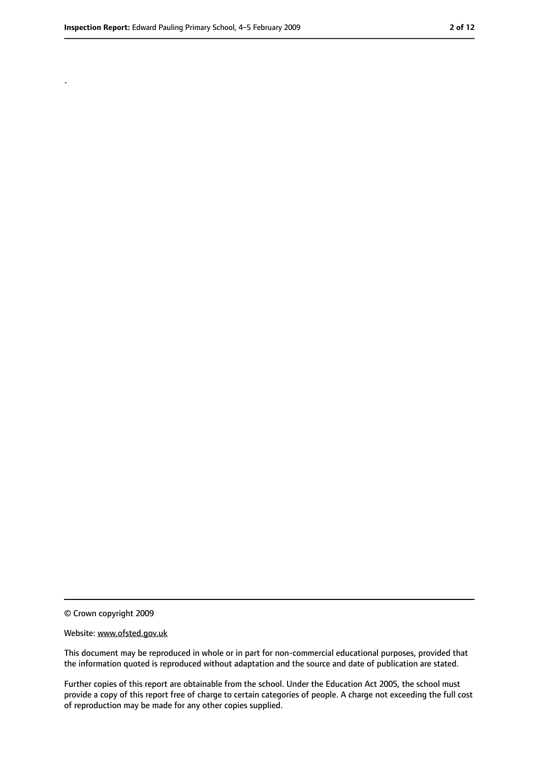.

<sup>©</sup> Crown copyright 2009

Website: www.ofsted.gov.uk

This document may be reproduced in whole or in part for non-commercial educational purposes, provided that the information quoted is reproduced without adaptation and the source and date of publication are stated.

Further copies of this report are obtainable from the school. Under the Education Act 2005, the school must provide a copy of this report free of charge to certain categories of people. A charge not exceeding the full cost of reproduction may be made for any other copies supplied.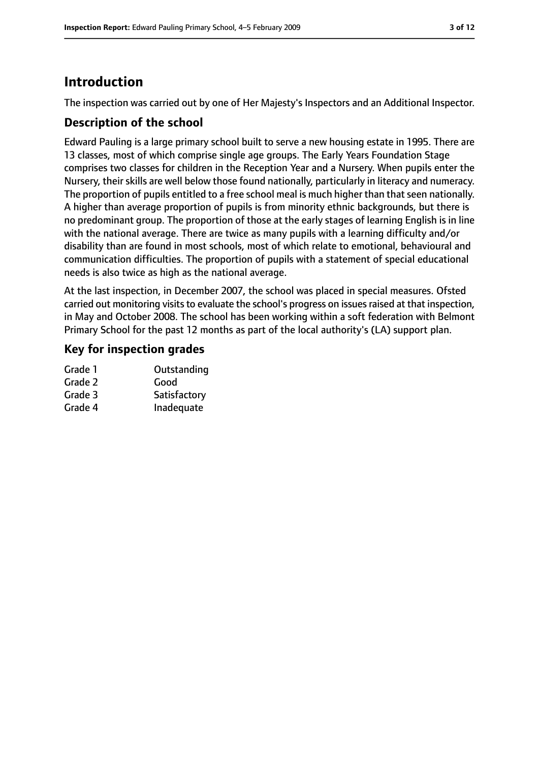# **Introduction**

The inspection was carried out by one of Her Majesty's Inspectors and an Additional Inspector.

## **Description of the school**

Edward Pauling is a large primary school built to serve a new housing estate in 1995. There are 13 classes, most of which comprise single age groups. The Early Years Foundation Stage comprises two classes for children in the Reception Year and a Nursery. When pupils enter the Nursery, their skills are well below those found nationally, particularly in literacy and numeracy. The proportion of pupils entitled to a free school meal is much higher than that seen nationally. A higher than average proportion of pupils is from minority ethnic backgrounds, but there is no predominant group. The proportion of those at the early stages of learning English is in line with the national average. There are twice as many pupils with a learning difficulty and/or disability than are found in most schools, most of which relate to emotional, behavioural and communication difficulties. The proportion of pupils with a statement of special educational needs is also twice as high as the national average.

At the last inspection, in December 2007, the school was placed in special measures. Ofsted carried out monitoring visits to evaluate the school's progress on issues raised at that inspection, in May and October 2008. The school has been working within a soft federation with Belmont Primary School for the past 12 months as part of the local authority's (LA) support plan.

## **Key for inspection grades**

| Grade 1 | Outstanding  |
|---------|--------------|
| Grade 2 | Good         |
| Grade 3 | Satisfactory |
| Grade 4 | Inadequate   |
|         |              |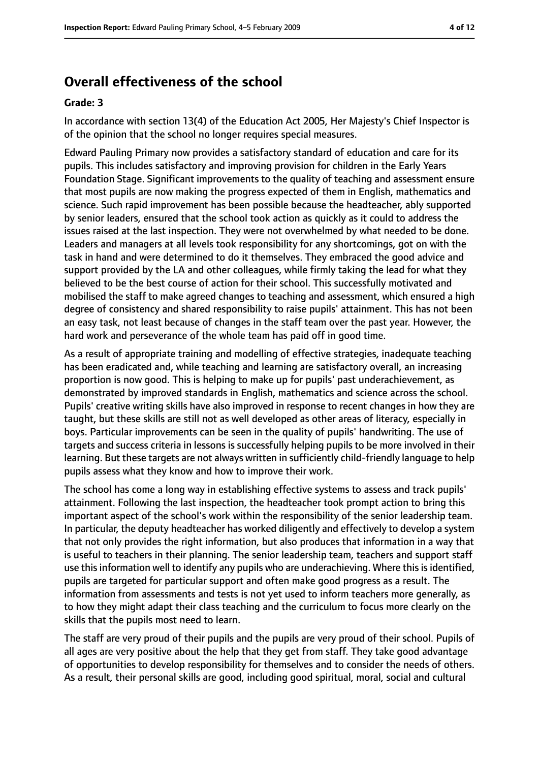# **Overall effectiveness of the school**

#### **Grade: 3**

In accordance with section 13(4) of the Education Act 2005, Her Majesty's Chief Inspector is of the opinion that the school no longer requires special measures.

Edward Pauling Primary now provides a satisfactory standard of education and care for its pupils. This includes satisfactory and improving provision for children in the Early Years Foundation Stage. Significant improvements to the quality of teaching and assessment ensure that most pupils are now making the progress expected of them in English, mathematics and science. Such rapid improvement has been possible because the headteacher, ably supported by senior leaders, ensured that the school took action as quickly as it could to address the issues raised at the last inspection. They were not overwhelmed by what needed to be done. Leaders and managers at all levels took responsibility for any shortcomings, got on with the task in hand and were determined to do it themselves. They embraced the good advice and support provided by the LA and other colleagues, while firmly taking the lead for what they believed to be the best course of action for their school. This successfully motivated and mobilised the staff to make agreed changes to teaching and assessment, which ensured a high degree of consistency and shared responsibility to raise pupils' attainment. This has not been an easy task, not least because of changes in the staff team over the past year. However, the hard work and perseverance of the whole team has paid off in good time.

As a result of appropriate training and modelling of effective strategies, inadequate teaching has been eradicated and, while teaching and learning are satisfactory overall, an increasing proportion is now good. This is helping to make up for pupils' past underachievement, as demonstrated by improved standards in English, mathematics and science across the school. Pupils' creative writing skills have also improved in response to recent changes in how they are taught, but these skills are still not as well developed as other areas of literacy, especially in boys. Particular improvements can be seen in the quality of pupils' handwriting. The use of targets and success criteria in lessons is successfully helping pupils to be more involved in their learning. But these targets are not always written in sufficiently child-friendly language to help pupils assess what they know and how to improve their work.

The school has come a long way in establishing effective systems to assess and track pupils' attainment. Following the last inspection, the headteacher took prompt action to bring this important aspect of the school's work within the responsibility of the senior leadership team. In particular, the deputy headteacher has worked diligently and effectively to develop a system that not only provides the right information, but also produces that information in a way that is useful to teachers in their planning. The senior leadership team, teachers and support staff use this information well to identify any pupils who are underachieving. Where this is identified, pupils are targeted for particular support and often make good progress as a result. The information from assessments and tests is not yet used to inform teachers more generally, as to how they might adapt their class teaching and the curriculum to focus more clearly on the skills that the pupils most need to learn.

The staff are very proud of their pupils and the pupils are very proud of their school. Pupils of all ages are very positive about the help that they get from staff. They take good advantage of opportunities to develop responsibility for themselves and to consider the needs of others. As a result, their personal skills are good, including good spiritual, moral, social and cultural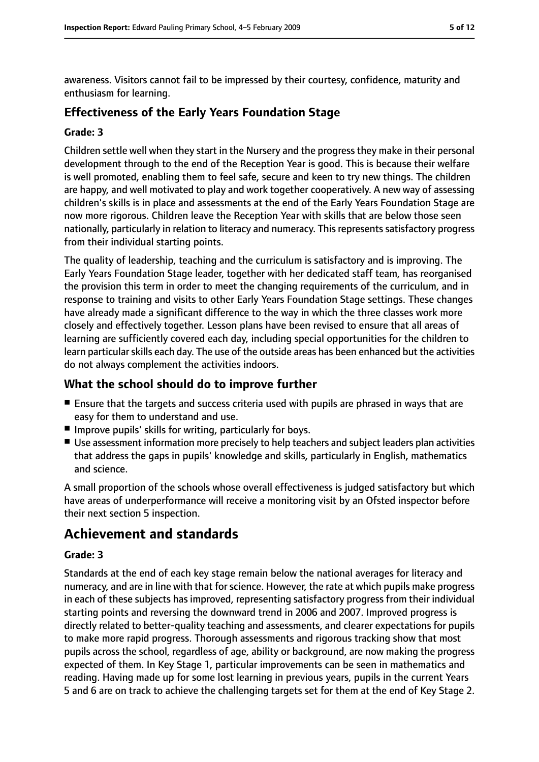awareness. Visitors cannot fail to be impressed by their courtesy, confidence, maturity and enthusiasm for learning.

## **Effectiveness of the Early Years Foundation Stage**

#### **Grade: 3**

Children settle well when they start in the Nursery and the progress they make in their personal development through to the end of the Reception Year is good. This is because their welfare is well promoted, enabling them to feel safe, secure and keen to try new things. The children are happy, and well motivated to play and work together cooperatively. A new way of assessing children's skills is in place and assessments at the end of the Early Years Foundation Stage are now more rigorous. Children leave the Reception Year with skills that are below those seen nationally, particularly in relation to literacy and numeracy. This represents satisfactory progress from their individual starting points.

The quality of leadership, teaching and the curriculum is satisfactory and is improving. The Early Years Foundation Stage leader, together with her dedicated staff team, has reorganised the provision this term in order to meet the changing requirements of the curriculum, and in response to training and visits to other Early Years Foundation Stage settings. These changes have already made a significant difference to the way in which the three classes work more closely and effectively together. Lesson plans have been revised to ensure that all areas of learning are sufficiently covered each day, including special opportunities for the children to learn particular skills each day. The use of the outside areas has been enhanced but the activities do not always complement the activities indoors.

## **What the school should do to improve further**

- Ensure that the targets and success criteria used with pupils are phrased in ways that are easy for them to understand and use.
- Improve pupils' skills for writing, particularly for boys.
- Use assessment information more precisely to help teachers and subject leaders plan activities that address the gaps in pupils' knowledge and skills, particularly in English, mathematics and science.

A small proportion of the schools whose overall effectiveness is judged satisfactory but which have areas of underperformance will receive a monitoring visit by an Ofsted inspector before their next section 5 inspection.

# **Achievement and standards**

#### **Grade: 3**

Standards at the end of each key stage remain below the national averages for literacy and numeracy, and are in line with that for science. However, the rate at which pupils make progress in each of these subjects has improved, representing satisfactory progress from their individual starting points and reversing the downward trend in 2006 and 2007. Improved progress is directly related to better-quality teaching and assessments, and clearer expectations for pupils to make more rapid progress. Thorough assessments and rigorous tracking show that most pupils across the school, regardless of age, ability or background, are now making the progress expected of them. In Key Stage 1, particular improvements can be seen in mathematics and reading. Having made up for some lost learning in previous years, pupils in the current Years 5 and 6 are on track to achieve the challenging targets set for them at the end of Key Stage 2.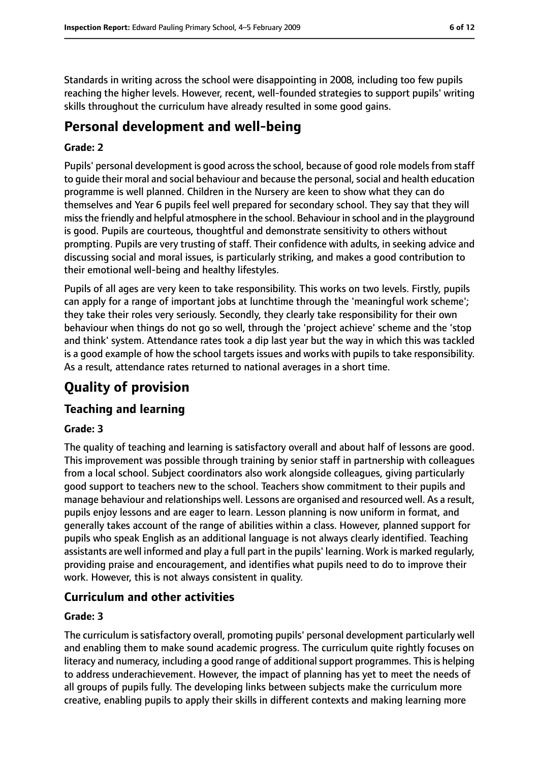Standards in writing across the school were disappointing in 2008, including too few pupils reaching the higher levels. However, recent, well-founded strategies to support pupils' writing skills throughout the curriculum have already resulted in some good gains.

# **Personal development and well-being**

#### **Grade: 2**

Pupils' personal development is good across the school, because of good role models from staff to quide their moral and social behaviour and because the personal, social and health education programme is well planned. Children in the Nursery are keen to show what they can do themselves and Year 6 pupils feel well prepared for secondary school. They say that they will missthe friendly and helpful atmosphere in the school. Behaviour in school and in the playground is good. Pupils are courteous, thoughtful and demonstrate sensitivity to others without prompting. Pupils are very trusting of staff. Their confidence with adults, in seeking advice and discussing social and moral issues, is particularly striking, and makes a good contribution to their emotional well-being and healthy lifestyles.

Pupils of all ages are very keen to take responsibility. This works on two levels. Firstly, pupils can apply for a range of important jobs at lunchtime through the 'meaningful work scheme'; they take their roles very seriously. Secondly, they clearly take responsibility for their own behaviour when things do not go so well, through the 'project achieve' scheme and the 'stop and think' system. Attendance rates took a dip last year but the way in which this was tackled is a good example of how the school targets issues and works with pupils to take responsibility. As a result, attendance rates returned to national averages in a short time.

# **Quality of provision**

## **Teaching and learning**

#### **Grade: 3**

The quality of teaching and learning is satisfactory overall and about half of lessons are good. This improvement was possible through training by senior staff in partnership with colleagues from a local school. Subject coordinators also work alongside colleagues, giving particularly good support to teachers new to the school. Teachers show commitment to their pupils and manage behaviour and relationships well. Lessons are organised and resourced well. As a result, pupils enjoy lessons and are eager to learn. Lesson planning is now uniform in format, and generally takes account of the range of abilities within a class. However, planned support for pupils who speak English as an additional language is not always clearly identified. Teaching assistants are well informed and play a full part in the pupils' learning. Work is marked regularly, providing praise and encouragement, and identifies what pupils need to do to improve their work. However, this is not always consistent in quality.

## **Curriculum and other activities**

#### **Grade: 3**

The curriculum is satisfactory overall, promoting pupils' personal development particularly well and enabling them to make sound academic progress. The curriculum quite rightly focuses on literacy and numeracy, including a good range of additional support programmes. This is helping to address underachievement. However, the impact of planning has yet to meet the needs of all groups of pupils fully. The developing links between subjects make the curriculum more creative, enabling pupils to apply their skills in different contexts and making learning more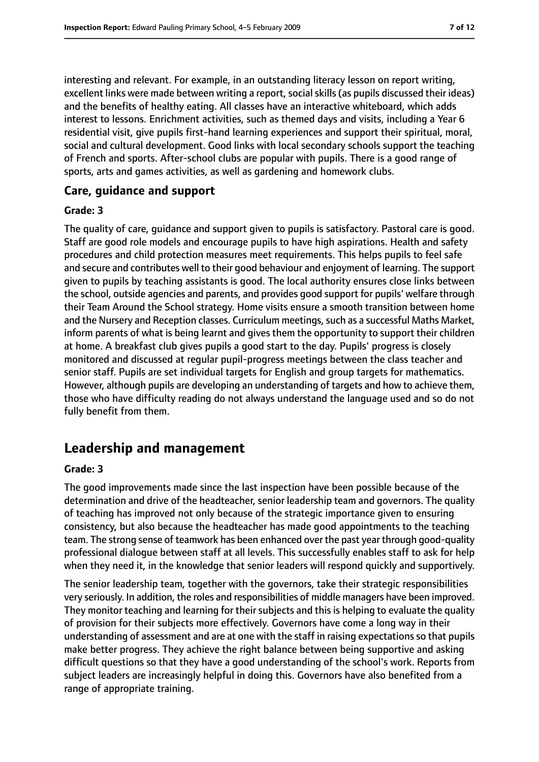interesting and relevant. For example, in an outstanding literacy lesson on report writing, excellent links were made between writing a report, social skills (as pupils discussed their ideas) and the benefits of healthy eating. All classes have an interactive whiteboard, which adds interest to lessons. Enrichment activities, such as themed days and visits, including a Year 6 residential visit, give pupils first-hand learning experiences and support their spiritual, moral, social and cultural development. Good links with local secondary schools support the teaching of French and sports. After-school clubs are popular with pupils. There is a good range of sports, arts and games activities, as well as gardening and homework clubs.

## **Care, guidance and support**

#### **Grade: 3**

The quality of care, guidance and support given to pupils is satisfactory. Pastoral care is good. Staff are good role models and encourage pupils to have high aspirations. Health and safety procedures and child protection measures meet requirements. This helps pupils to feel safe and secure and contributes well to their good behaviour and enjoyment of learning. The support given to pupils by teaching assistants is good. The local authority ensures close links between the school, outside agencies and parents, and provides good support for pupils' welfare through their Team Around the School strategy. Home visits ensure a smooth transition between home and the Nursery and Reception classes. Curriculum meetings, such as a successful Maths Market, inform parents of what is being learnt and gives them the opportunity to support their children at home. A breakfast club gives pupils a good start to the day. Pupils' progress is closely monitored and discussed at regular pupil-progress meetings between the class teacher and senior staff. Pupils are set individual targets for English and group targets for mathematics. However, although pupils are developing an understanding of targets and how to achieve them, those who have difficulty reading do not always understand the language used and so do not fully benefit from them.

# **Leadership and management**

#### **Grade: 3**

The good improvements made since the last inspection have been possible because of the determination and drive of the headteacher, senior leadership team and governors. The quality of teaching has improved not only because of the strategic importance given to ensuring consistency, but also because the headteacher has made good appointments to the teaching team. The strong sense of teamwork has been enhanced over the past year through good-quality professional dialogue between staff at all levels. This successfully enables staff to ask for help when they need it, in the knowledge that senior leaders will respond quickly and supportively.

The senior leadership team, together with the governors, take their strategic responsibilities very seriously. In addition, the roles and responsibilities of middle managers have been improved. They monitor teaching and learning for their subjects and this is helping to evaluate the quality of provision for their subjects more effectively. Governors have come a long way in their understanding of assessment and are at one with the staff in raising expectations so that pupils make better progress. They achieve the right balance between being supportive and asking difficult questions so that they have a good understanding of the school's work. Reports from subject leaders are increasingly helpful in doing this. Governors have also benefited from a range of appropriate training.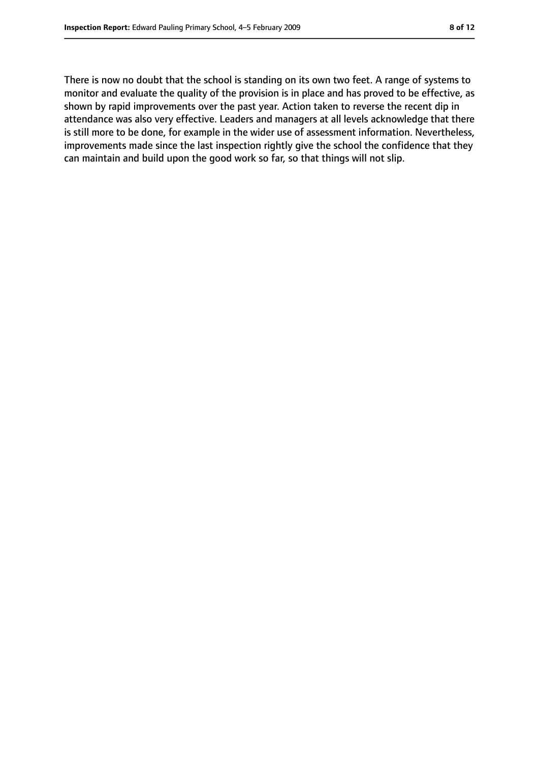There is now no doubt that the school is standing on its own two feet. A range of systems to monitor and evaluate the quality of the provision is in place and has proved to be effective, as shown by rapid improvements over the past year. Action taken to reverse the recent dip in attendance was also very effective. Leaders and managers at all levels acknowledge that there is still more to be done, for example in the wider use of assessment information. Nevertheless, improvements made since the last inspection rightly give the school the confidence that they can maintain and build upon the good work so far, so that things will not slip.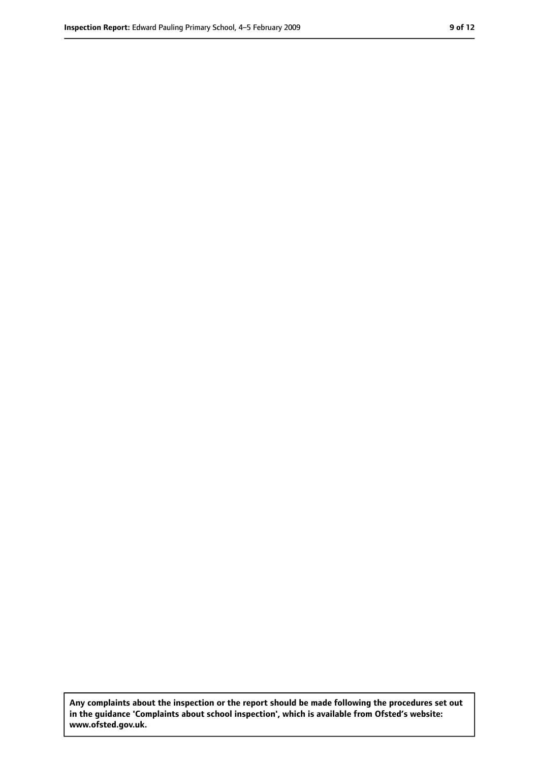**Any complaints about the inspection or the report should be made following the procedures set out in the guidance 'Complaints about school inspection', which is available from Ofsted's website: www.ofsted.gov.uk.**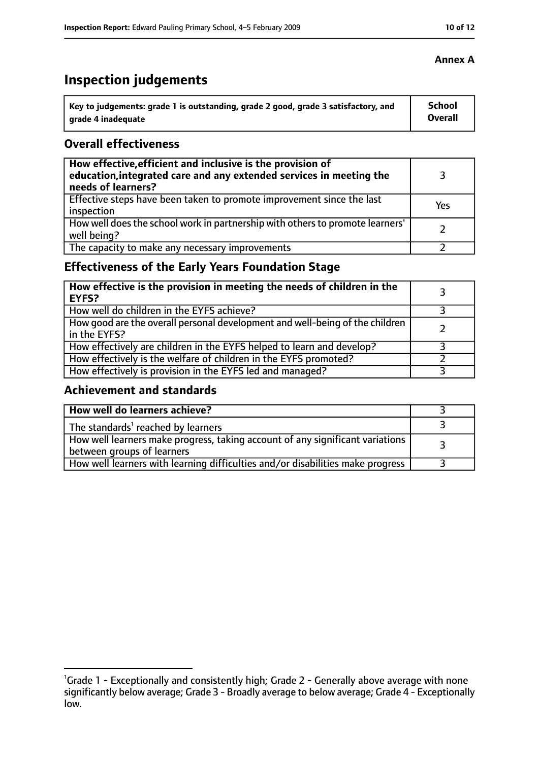# **Inspection judgements**

| Key to judgements: grade 1 is outstanding, grade 2 good, grade 3 satisfactory, and | School  |
|------------------------------------------------------------------------------------|---------|
| arade 4 inadequate                                                                 | Overall |

## **Overall effectiveness**

| How effective, efficient and inclusive is the provision of<br>education, integrated care and any extended services in meeting the<br>needs of learners? |     |
|---------------------------------------------------------------------------------------------------------------------------------------------------------|-----|
| Effective steps have been taken to promote improvement since the last<br>inspection                                                                     | Yes |
| How well does the school work in partnership with others to promote learners'<br>well being?                                                            |     |
| The capacity to make any necessary improvements                                                                                                         |     |

# **Effectiveness of the Early Years Foundation Stage**

| How effective is the provision in meeting the needs of children in the<br><b>EYFS?</b>       |  |
|----------------------------------------------------------------------------------------------|--|
| How well do children in the EYFS achieve?                                                    |  |
| How good are the overall personal development and well-being of the children<br>in the EYFS? |  |
| How effectively are children in the EYFS helped to learn and develop?                        |  |
| How effectively is the welfare of children in the EYFS promoted?                             |  |
| How effectively is provision in the EYFS led and managed?                                    |  |

## **Achievement and standards**

| How well do learners achieve?                                                                               |  |
|-------------------------------------------------------------------------------------------------------------|--|
| The standards <sup>1</sup> reached by learners                                                              |  |
| How well learners make progress, taking account of any significant variations<br>between groups of learners |  |
| How well learners with learning difficulties and/or disabilities make progress                              |  |

<sup>&</sup>lt;sup>1</sup>Grade 1 - Exceptionally and consistently high; Grade 2 - Generally above average with none significantly below average; Grade 3 - Broadly average to below average; Grade 4 - Exceptionally low.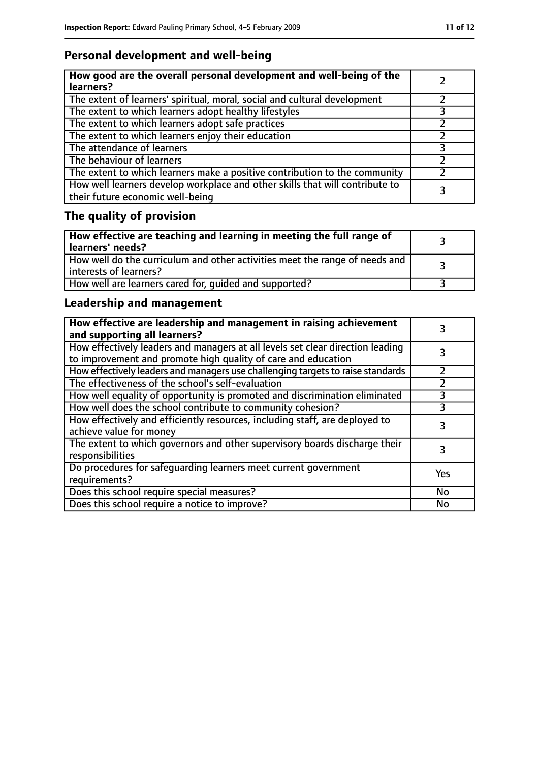# **Personal development and well-being**

| How good are the overall personal development and well-being of the<br>learners?                                 |  |
|------------------------------------------------------------------------------------------------------------------|--|
| The extent of learners' spiritual, moral, social and cultural development                                        |  |
| The extent to which learners adopt healthy lifestyles                                                            |  |
| The extent to which learners adopt safe practices                                                                |  |
| The extent to which learners enjoy their education                                                               |  |
| The attendance of learners                                                                                       |  |
| The behaviour of learners                                                                                        |  |
| The extent to which learners make a positive contribution to the community                                       |  |
| How well learners develop workplace and other skills that will contribute to<br>their future economic well-being |  |

# **The quality of provision**

| $\mid$ How effective are teaching and learning in meeting the full range of<br>  learners' needs?       |  |
|---------------------------------------------------------------------------------------------------------|--|
| How well do the curriculum and other activities meet the range of needs and<br>  interests of learners? |  |
| How well are learners cared for, quided and supported?                                                  |  |

# **Leadership and management**

| How effective are leadership and management in raising achievement<br>and supporting all learners?                                              |     |
|-------------------------------------------------------------------------------------------------------------------------------------------------|-----|
| How effectively leaders and managers at all levels set clear direction leading<br>to improvement and promote high quality of care and education |     |
| How effectively leaders and managers use challenging targets to raise standards                                                                 |     |
| The effectiveness of the school's self-evaluation                                                                                               |     |
| How well equality of opportunity is promoted and discrimination eliminated                                                                      |     |
| How well does the school contribute to community cohesion?                                                                                      | 3   |
| How effectively and efficiently resources, including staff, are deployed to<br>achieve value for money                                          | 3   |
| The extent to which governors and other supervisory boards discharge their<br>responsibilities                                                  | 3   |
| Do procedures for safequarding learners meet current government<br>requirements?                                                                | Yes |
| Does this school require special measures?                                                                                                      | No  |
| Does this school require a notice to improve?                                                                                                   | No  |